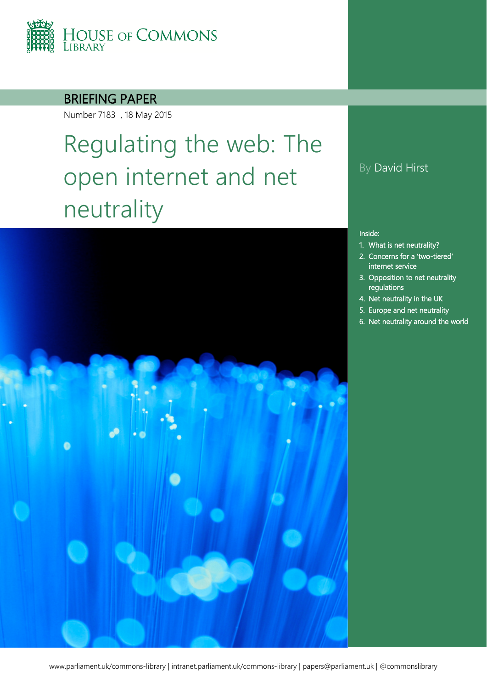

### BRIEFING PAPER

Number 7183 , 18 May 2015

# Regulating the web: The open internet and net neutrality



### By David Hirst

#### Inside:

- 1. [What is net neutrality?](#page-3-0)
- 2. [Concerns for a 'two-tiered'](#page-4-0)  [internet service](#page-4-0)
- 3. [Opposition to net neutrality](#page-6-0)  [regulations](#page-6-0)
- 4. [Net neutrality in the UK](#page-7-0)
- 5. [Europe and net neutrality](#page-10-0)
- 6. [Net neutrality around the world](#page-13-0)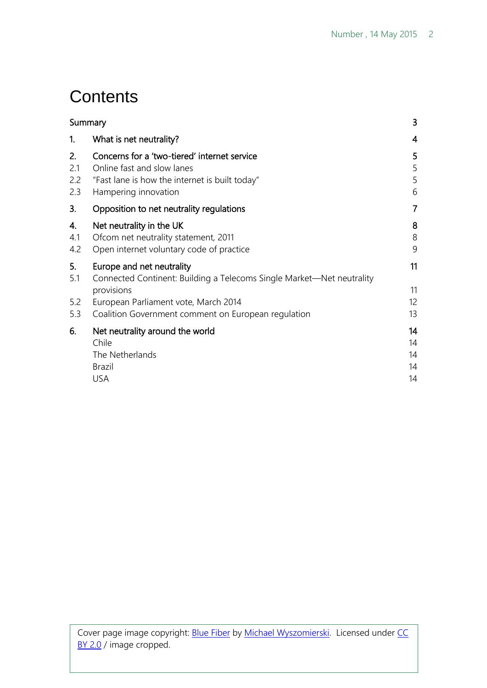# **Contents**

| Summary                 |                                                                                                                                                      | 3                          |
|-------------------------|------------------------------------------------------------------------------------------------------------------------------------------------------|----------------------------|
| 1.                      | What is net neutrality?                                                                                                                              | $\overline{4}$             |
| 2.<br>2.1<br>2.2<br>2.3 | Concerns for a 'two-tiered' internet service<br>Online fast and slow lanes<br>"Fast lane is how the internet is built today"<br>Hampering innovation | 5<br>5<br>5<br>6           |
| 3.                      | Opposition to net neutrality regulations                                                                                                             | $\overline{7}$             |
| 4.<br>4.1<br>4.2        | Net neutrality in the UK<br>Ofcom net neutrality statement, 2011<br>Open internet voluntary code of practice                                         | 8<br>8<br>9                |
| 5.<br>5.1               | Europe and net neutrality<br>Connected Continent: Building a Telecoms Single Market—Net neutrality<br>provisions                                     | 11<br>11                   |
| 5.2<br>5.3              | European Parliament vote, March 2014<br>Coalition Government comment on European regulation                                                          | 12<br>13                   |
| 6.                      | Net neutrality around the world<br>Chile<br>The Netherlands<br><b>Brazil</b><br><b>USA</b>                                                           | 14<br>14<br>14<br>14<br>14 |
|                         |                                                                                                                                                      |                            |

Cover page image copyright: **Blue Fiber by Michael Wyszomierski**. Licensed under CC [BY 2.0](https://creativecommons.org/licenses/by-nc/2.0/) / image cropped.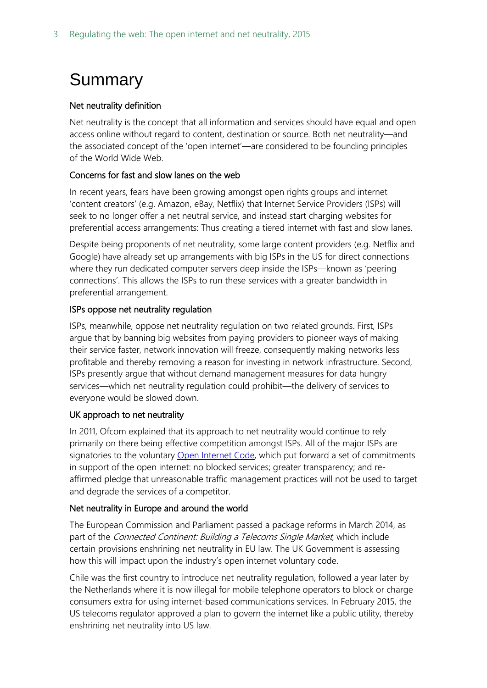# <span id="page-2-0"></span>Summary

### Net neutrality definition

Net neutrality is the concept that all information and services should have equal and open access online without regard to content, destination or source. Both net neutrality—and the associated concept of the 'open internet'—are considered to be founding principles of the World Wide Web.

#### Concerns for fast and slow lanes on the web

In recent years, fears have been growing amongst open rights groups and internet 'content creators' (e.g. Amazon, eBay, Netflix) that Internet Service Providers (ISPs) will seek to no longer offer a net neutral service, and instead start charging websites for preferential access arrangements: Thus creating a tiered internet with fast and slow lanes.

Despite being proponents of net neutrality, some large content providers (e.g. Netflix and Google) have already set up arrangements with big ISPs in the US for direct connections where they run dedicated computer servers deep inside the ISPs—known as 'peering connections'. This allows the ISPs to run these services with a greater bandwidth in preferential arrangement.

#### ISPs oppose net neutrality regulation

ISPs, meanwhile, oppose net neutrality regulation on two related grounds. First, ISPs argue that by banning big websites from paying providers to pioneer ways of making their service faster, network innovation will freeze, consequently making networks less profitable and thereby removing a reason for investing in network infrastructure. Second, ISPs presently argue that without demand management measures for data hungry services—which net neutrality regulation could prohibit—the delivery of services to everyone would be slowed down.

#### UK approach to net neutrality

In 2011, Ofcom explained that its approach to net neutrality would continue to rely primarily on there being effective competition amongst ISPs. All of the major ISPs are signatories to the voluntary [Open Internet Code,](http://www.broadbanduk.org/wp-content/uploads/2015/01/BSG-Open-Internet-Code-of-Practice-amended-November-2014.pdf) which put forward a set of commitments in support of the open internet: no blocked services; greater transparency; and reaffirmed pledge that unreasonable traffic management practices will not be used to target and degrade the services of a competitor.

#### Net neutrality in Europe and around the world

The European Commission and Parliament passed a package reforms in March 2014, as part of the Connected Continent: Building a Telecoms Single Market, which include certain provisions enshrining net neutrality in EU law. The UK Government is assessing how this will impact upon the industry's open internet voluntary code.

Chile was the first country to introduce net neutrality regulation, followed a year later by the Netherlands where it is now illegal for mobile telephone operators to block or charge consumers extra for using internet-based communications services. In February 2015, the US telecoms regulator approved a plan to govern the internet like a public utility, thereby enshrining net neutrality into US law.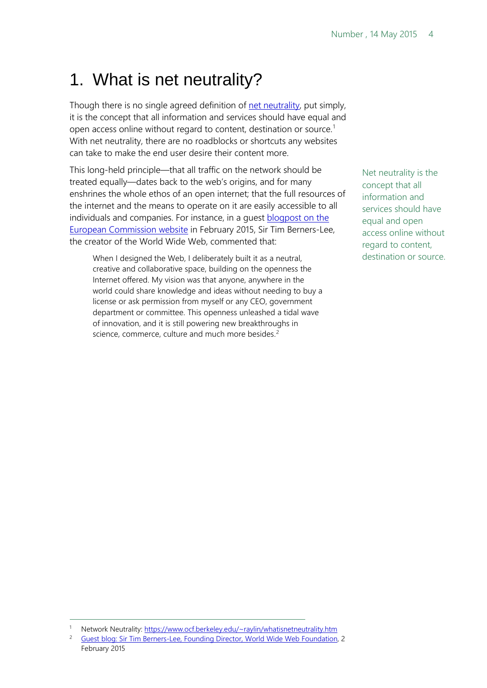# <span id="page-3-0"></span>1. What is net neutrality?

Though there is no single agreed definition of [net neutrality,](https://www.ocf.berkeley.edu/%7Eraylin/whatisnetneutrality.htm) put simply, it is the concept that all information and services should have equal and open access online without regard to content, destination or source.<sup>[1](#page-3-1)</sup> With net neutrality, there are no roadblocks or shortcuts any websites can take to make the end user desire their content more.

This long-held principle—that all traffic on the network should be treated equally—dates back to the web's origins, and for many enshrines the whole ethos of an open internet; that the full resources of the internet and the means to operate on it are easily accessible to all individuals and companies. For instance, in a guest **blogpost on the** [European Commission website](http://ec.europa.eu/commission/2014-2019/ansip/blog/guest-blog-sir-tim-berners-lee-founding-director-world-wide-web-foundation_en) in February 2015, Sir Tim Berners-Lee, the creator of the World Wide Web, commented that:

When I designed the Web, I deliberately built it as a neutral, creative and collaborative space, building on the openness the Internet offered. My vision was that anyone, anywhere in the world could share knowledge and ideas without needing to buy a license or ask permission from myself or any CEO, government department or committee. This openness unleashed a tidal wave of innovation, and it is still powering new breakthroughs in science, commerce, culture and much more besides.<sup>[2](#page-3-2)</sup>

Net neutrality is the concept that all information and services should have equal and open access online without regard to content, destination or source.

<span id="page-3-1"></span>Network Neutrality[: https://www.ocf.berkeley.edu/~raylin/whatisnetneutrality.htm](https://www.ocf.berkeley.edu/%7Eraylin/whatisnetneutrality.htm)

<span id="page-3-2"></span><sup>2</sup> [Guest blog: Sir Tim Berners-Lee, Founding Director, World Wide Web Foundation,](http://ec.europa.eu/commission/2014-2019/ansip/blog/guest-blog-sir-tim-berners-lee-founding-director-world-wide-web-foundation_en) 2 February 2015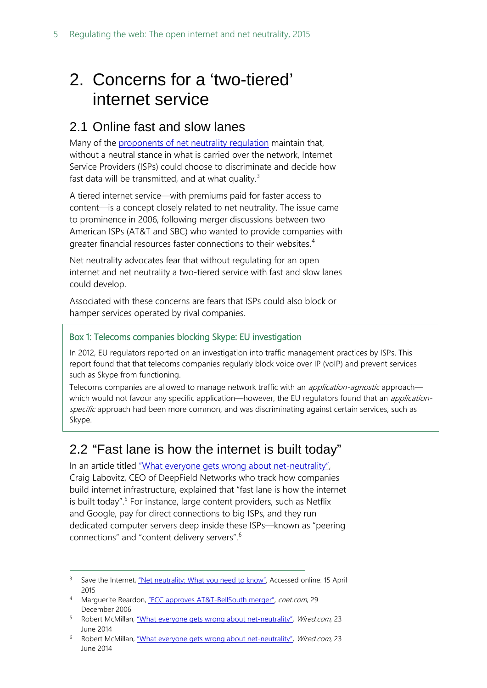# <span id="page-4-0"></span>2. Concerns for a 'two-tiered' internet service

### <span id="page-4-1"></span>2.1 Online fast and slow lanes

Many of the [proponents of net neutrality regulation](http://www.savetheinternet.com/net-neutrality-what-you-need-know-now) maintain that, without a neutral stance in what is carried over the network, Internet Service Providers (ISPs) could choose to discriminate and decide how fast data will be transmitted, and at what quality.<sup>[3](#page-4-3)</sup>

A tiered internet service—with premiums paid for faster access to content—is a concept closely related to net neutrality. The issue came to prominence in 2006, following merger discussions between two American ISPs (AT&T and SBC) who wanted to provide companies with greater financial resources faster connections to their websites.<sup>[4](#page-4-4)</sup>

Net neutrality advocates fear that without regulating for an open internet and net neutrality a two-tiered service with fast and slow lanes could develop.

Associated with these concerns are fears that ISPs could also block or hamper services operated by rival companies.

### Box 1: Telecoms companies blocking Skype: EU investigation

In 2012, EU regulators reported on an investigation into traffic management practices by ISPs. This report found that that telecoms companies regularly block voice over IP (voIP) and prevent services such as Skype from functioning.

Telecoms companies are allowed to manage network traffic with an *application-agnostic* approach which would not favour any specific application—however, the EU regulators found that an *application*specific approach had been more common, and was discriminating against certain services, such as Skype.

### <span id="page-4-2"></span>2.2 "Fast lane is how the internet is built today"

In an article titled "What everyone gets wrong about net-neutrality", Craig Labovitz, CEO of DeepField Networks who track how companies build internet infrastructure, explained that "fast lane is how the internet is built today".<sup>[5](#page-4-5)</sup> For instance, large content providers, such as Netflix and Google, pay for direct connections to big ISPs, and they run dedicated computer servers deep inside these ISPs—known as "peering connections" and "content delivery servers".[6](#page-4-6)

<span id="page-4-3"></span><sup>&</sup>lt;sup>3</sup> Save the Internet, ["Net neutrality: What you need to know",](http://www.savetheinternet.com/net-neutrality-what-you-need-know-now) Accessed online: 15 April 2015

<span id="page-4-4"></span><sup>4</sup> Marguerite Reardon, ["FCC approves AT&T-BellSouth merger",](http://news.cnet.com/FCC-approves-ATT-BellSouth-merger/2100-1036_3-6146369.html) cnet.com, 29 December 2006

<span id="page-4-5"></span><sup>5</sup> Robert McMillan, ["What everyone gets wrong about net-neutrality",](http://www.wired.com/2014/06/net_neutrality_missing/) Wired.com, 23 June 2014

<span id="page-4-6"></span><sup>&</sup>lt;sup>6</sup> Robert McMillan, ["What everyone gets wrong about net-neutrality",](http://www.wired.com/2014/06/net_neutrality_missing/) Wired.com, 23 June 2014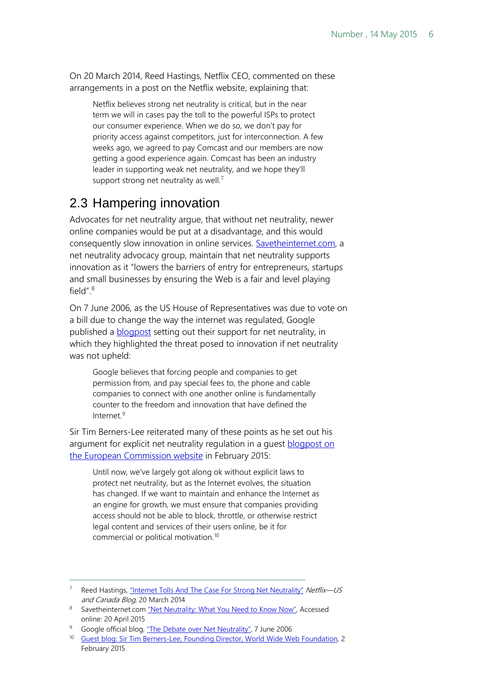On 20 March 2014, Reed Hastings, Netflix CEO, commented on these arrangements in a post on the Netflix website, explaining that:

Netflix believes strong net neutrality is critical, but in the near term we will in cases pay the toll to the powerful ISPs to protect our consumer experience. When we do so, we don't pay for priority access against competitors, just for interconnection. A few weeks ago, we agreed to pay Comcast and our members are now getting a good experience again. Comcast has been an industry leader in supporting weak net neutrality, and we hope they'll support strong net neutrality as well.<sup>[7](#page-5-1)</sup>

## <span id="page-5-0"></span>2.3 Hampering innovation

Advocates for net neutrality argue, that without net neutrality, newer online companies would be put at a disadvantage, and this would consequently slow innovation in online services. [Savetheinternet.com,](http://www.savetheinternet.com/net-neutrality-what-you-need-know-now) a net neutrality advocacy group, maintain that net neutrality supports innovation as it "lowers the barriers of entry for entrepreneurs, startups and small businesses by ensuring the Web is a fair and level playing field". $8$ 

On 7 June 2006, as the US House of Representatives was due to vote on a bill due to change the way the internet was regulated, Google published a [blogpost](http://googleblog.blogspot.co.uk/2006/06/debate-over-net-neutrality.html) setting out their support for net neutrality, in which they highlighted the threat posed to innovation if net neutrality was not upheld:

Google believes that forcing people and companies to get permission from, and pay special fees to, the phone and cable companies to connect with one another online is fundamentally counter to the freedom and innovation that have defined the Internet<sup>[9](#page-5-3)</sup>

Sir Tim Berners-Lee reiterated many of these points as he set out his argument for explicit net neutrality regulation in a guest [blogpost on](http://ec.europa.eu/commission/2014-2019/ansip/blog/guest-blog-sir-tim-berners-lee-founding-director-world-wide-web-foundation_en)  [the European Commission website](http://ec.europa.eu/commission/2014-2019/ansip/blog/guest-blog-sir-tim-berners-lee-founding-director-world-wide-web-foundation_en) in February 2015:

Until now, we've largely got along ok without explicit laws to protect net neutrality, but as the Internet evolves, the situation has changed. If we want to maintain and enhance the Internet as an engine for growth, we must ensure that companies providing access should not be able to block, throttle, or otherwise restrict legal content and services of their users online, be it for commercial or political motivation.[10](#page-5-4)

Reed Hastings, ["Internet Tolls And The Case For Strong Net Neutrality"](http://blog.netflix.com/2014/03/internet-tolls-and-case-for-strong-net.html) Netflix—US  $\overline{a}$ 

<span id="page-5-2"></span><span id="page-5-1"></span>and Canada Blog, 20 March 2014<br><sup>8</sup> Savetheinternet.com <u>"Net Neutrality: What You Need to Know Now"</u>, Accessed online: 20 April 2015

<span id="page-5-4"></span><span id="page-5-3"></span><sup>&</sup>lt;sup>9</sup> Google official blog[, "The Debate over Net Neutrality",](http://googleblog.blogspot.co.uk/2006/06/debate-over-net-neutrality.html) 7 June 2006

<sup>&</sup>lt;sup>10</sup> Guest blog: Sir Tim [Berners-Lee, Founding Director, World Wide Web Foundation,](http://ec.europa.eu/commission/2014-2019/ansip/blog/guest-blog-sir-tim-berners-lee-founding-director-world-wide-web-foundation_en) 2 February 2015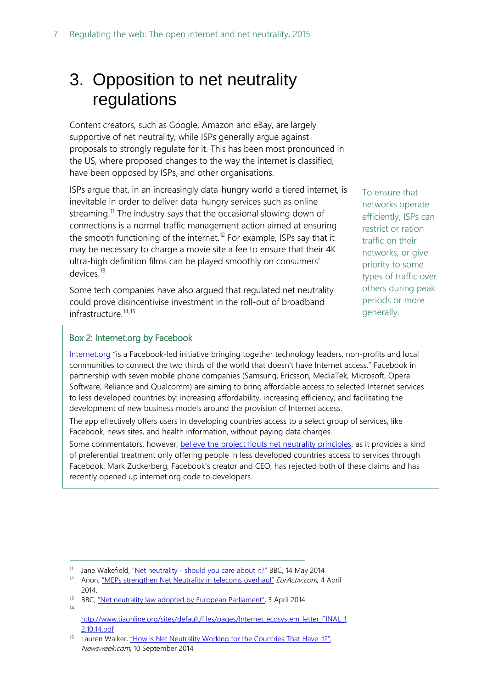# <span id="page-6-0"></span>3. Opposition to net neutrality regulations

Content creators, such as Google, Amazon and eBay, are largely supportive of net neutrality, while ISPs generally argue against proposals to strongly regulate for it. This has been most pronounced in the US, where proposed changes to the way the internet is classified, have been opposed by ISPs, and other organisations.

ISPs argue that, in an increasingly data-hungry world a tiered internet, is inevitable in order to deliver data-hungry services such as online streaming.<sup>[11](#page-6-1)</sup> The industry says that the occasional slowing down of connections is a normal traffic management action aimed at ensuring the smooth functioning of the internet.<sup>[12](#page-6-2)</sup> For example, ISPs say that it may be necessary to charge a movie site a fee to ensure that their 4K ultra-high definition films can be played smoothly on consumers' devices.<sup>[13](#page-6-3)</sup>

Some tech companies have also argued that regulated net neutrality could prove disincentivise investment in the roll-out of broadband infrastructure.<sup>[14](#page-6-4),[15](#page-6-5)</sup>

To ensure that networks operate efficiently, ISPs can restrict or ration traffic on their networks, or give priority to some types of traffic over others during peak periods or more generally.

#### Box 2: Internet.org by Facebook

 $\overline{a}$ 

[Internet.org](https://internet.org/about) "is a Facebook-led initiative bringing together technology leaders, non-profits and local communities to connect the two thirds of the world that doesn't have Internet access." Facebook in partnership with seven mobile phone companies (Samsung, Ericsson, MediaTek, Microsoft, Opera Software, Reliance and Qualcomm) are aiming to bring affordable access to selected Internet services to less developed countries by: increasing affordability, increasing efficiency, and facilitating the development of new business models around the provision of Internet access.

The app effectively offers users in developing countries access to a select group of services, like Facebook, news sites, and health information, without paying data charges.

Some commentators, however, believe the project flouts [net neutrality principles,](http://www.wired.com/2015/04/internet-org-zero-rating/) as it provides a kind of preferential treatment only offering people in less developed countries access to services through Facebook. Mark Zuckerberg, Facebook's creator and CEO, has rejected both of these claims and has recently opened up internet.org code to developers.

<span id="page-6-1"></span><sup>&</sup>lt;sup>11</sup> Jane Wakefield, "Net neutrality - [should you care about it?"](http://www.bbc.co.uk/news/technology-27397857) BBC, 14 May 2014

<span id="page-6-2"></span><sup>&</sup>lt;sup>12</sup> Anon, ["MEPs strengthen Net Neutrality in telecoms overhaul"](http://www.euractiv.com/sections/infosociety/meps-strengthen-net-neutrality-telecoms-overhaul-301352) EurActiv.com, 4 April 2014.

<span id="page-6-3"></span><sup>&</sup>lt;sup>13</sup> BBC, ["Net neutrality law adopted by European Parliament",](http://www.bbc.co.uk/news/technology-26865869) 3 April 2014

<span id="page-6-4"></span><sup>14</sup> [http://www.tiaonline.org/sites/default/files/pages/Internet\\_ecosystem\\_letter\\_FINAL\\_1](http://www.tiaonline.org/sites/default/files/pages/Internet_ecosystem_letter_FINAL_12.10.14.pdf) [2.10.14.pdf](http://www.tiaonline.org/sites/default/files/pages/Internet_ecosystem_letter_FINAL_12.10.14.pdf)

<span id="page-6-5"></span><sup>&</sup>lt;sup>15</sup> Lauren Walker, "How is Net Neutrality Working for the Countries That Have It?", Newsweek.com, 10 September 2014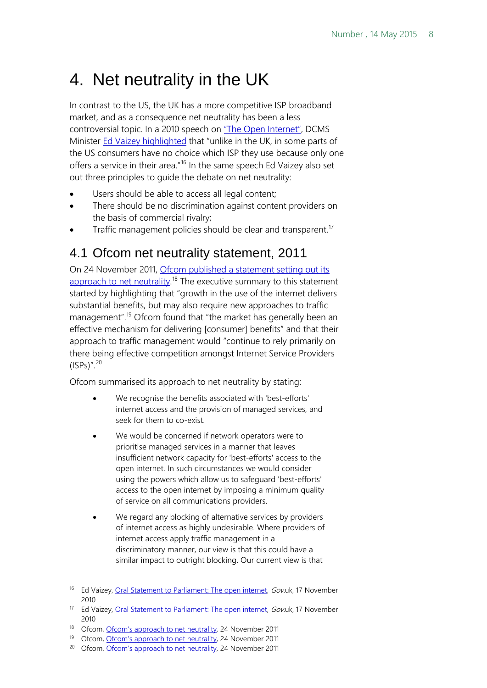# <span id="page-7-0"></span>4. Net neutrality in the UK

In contrast to the US, the UK has a more competitive ISP broadband market, and as a consequence net neutrality has been a less controversial topic. In a 2010 speech on ["The Open Internet",](https://www.gov.uk/government/speeches/the-open-internet) DCMS Minister [Ed Vaizey highlighted](https://www.gov.uk/government/speeches/the-open-internet) that "unlike in the UK, in some parts of the US consumers have no choice which ISP they use because only one offers a service in their area."<sup>[16](#page-7-2)</sup> In the same speech Ed Vaizey also set out three principles to guide the debate on net neutrality:

- Users should be able to access all legal content;
- There should be no discrimination against content providers on the basis of commercial rivalry;
- Traffic management policies should be clear and transparent.<sup>[17](#page-7-3)</sup>

### <span id="page-7-1"></span>4.1 Ofcom net neutrality statement, 2011

On 24 November 2011, [Ofcom published a statement setting out its](http://stakeholders.ofcom.org.uk/consultations/net-neutrality/statement/)  [approach to net neutrality.](http://stakeholders.ofcom.org.uk/consultations/net-neutrality/statement/)<sup>[18](#page-7-4)</sup> The executive summary to this statement started by highlighting that "growth in the use of the internet delivers substantial benefits, but may also require new approaches to traffic management".<sup>[19](#page-7-5)</sup> Ofcom found that "the market has generally been an effective mechanism for delivering [consumer] benefits" and that their approach to traffic management would "continue to rely primarily on there being effective competition amongst Internet Service Providers  $(ISPs)''$ .  $20$ 

Ofcom summarised its approach to net neutrality by stating:

- We recognise the benefits associated with 'best-efforts' internet access and the provision of managed services, and seek for them to co-exist.
- We would be concerned if network operators were to prioritise managed services in a manner that leaves insufficient network capacity for 'best-efforts' access to the open internet. In such circumstances we would consider using the powers which allow us to safeguard 'best-efforts' access to the open internet by imposing a minimum quality of service on all communications providers.
- We regard any blocking of alternative services by providers of internet access as highly undesirable. Where providers of internet access apply traffic management in a discriminatory manner, our view is that this could have a similar impact to outright blocking. Our current view is that

<span id="page-7-2"></span><sup>&</sup>lt;sup>16</sup> Ed Vaizey, [Oral Statement to Parliament: The open internet,](https://www.gov.uk/government/speeches/the-open-internet) Gov.uk, 17 November 2010

<span id="page-7-3"></span><sup>&</sup>lt;sup>17</sup> Ed Vaizey, [Oral Statement to Parliament: The open internet,](https://www.gov.uk/government/speeches/the-open-internet) Gov.uk, 17 November 2010

<span id="page-7-4"></span><sup>18</sup> Ofcom, [Ofcom's approach to net neutrality,](http://stakeholders.ofcom.org.uk/consultations/net-neutrality/statement/) 24 November 2011

<span id="page-7-5"></span><sup>&</sup>lt;sup>19</sup> Ofcom, [Ofcom's approach to net neutrality,](http://stakeholders.ofcom.org.uk/consultations/net-neutrality/statement/) 24 November 2011

<span id="page-7-6"></span><sup>&</sup>lt;sup>20</sup> Ofcom, [Ofcom's approach to net neutrality,](http://stakeholders.ofcom.org.uk/consultations/net-neutrality/statement/) 24 November 2011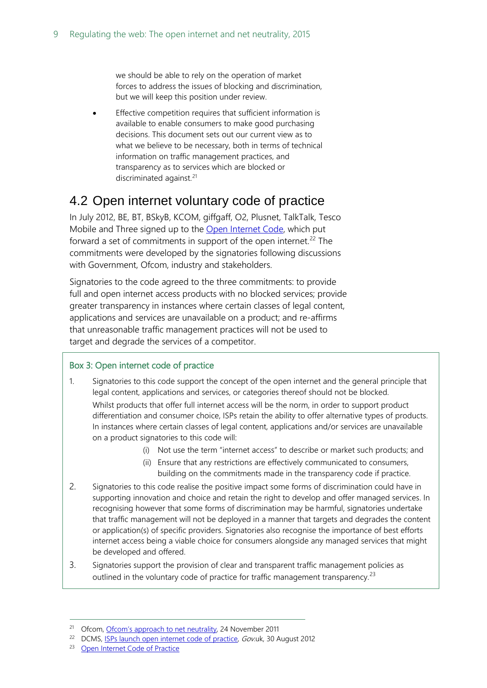we should be able to rely on the operation of market forces to address the issues of blocking and discrimination, but we will keep this position under review.

Effective competition requires that sufficient information is available to enable consumers to make good purchasing decisions. This document sets out our current view as to what we believe to be necessary, both in terms of technical information on traffic management practices, and transparency as to services which are blocked or discriminated against.<sup>[21](#page-8-1)</sup>

### <span id="page-8-0"></span>4.2 Open internet voluntary code of practice

In July 2012, BE, BT, BSkyB, KCOM, giffgaff, O2, Plusnet, TalkTalk, Tesco Mobile and Three signed up to the [Open Internet Code,](http://www.broadbanduk.org/wp-content/uploads/2015/01/BSG-Open-Internet-Code-of-Practice-amended-November-2014.pdf) which put forward a set of commitments in support of the open internet.<sup>[22](#page-8-2)</sup> The commitments were developed by the signatories following discussions with Government, Ofcom, industry and stakeholders.

Signatories to the code agreed to the three commitments: to provide full and open internet access products with no blocked services; provide greater transparency in instances where certain classes of legal content, applications and services are unavailable on a product; and re-affirms that unreasonable traffic management practices will not be used to target and degrade the services of a competitor.

#### Box 3: Open internet code of practice

- 1. Signatories to this code support the concept of the open internet and the general principle that legal content, applications and services, or categories thereof should not be blocked. Whilst products that offer full internet access will be the norm, in order to support product differentiation and consumer choice, ISPs retain the ability to offer alternative types of products. In instances where certain classes of legal content, applications and/or services are unavailable on a product signatories to this code will:
	- (i) Not use the term "internet access" to describe or market such products; and
	- (ii) Ensure that any restrictions are effectively communicated to consumers, building on the commitments made in the transparency code if practice.
- 2. Signatories to this code realise the positive impact some forms of discrimination could have in supporting innovation and choice and retain the right to develop and offer managed services. In recognising however that some forms of discrimination may be harmful, signatories undertake that traffic management will not be deployed in a manner that targets and degrades the content or application(s) of specific providers. Signatories also recognise the importance of best efforts internet access being a viable choice for consumers alongside any managed services that might be developed and offered.
- 3. Signatories support the provision of clear and transparent traffic management policies as outlined in the voluntary code of practice for traffic management transparency.<sup>[23](#page-8-3)</sup>

<span id="page-8-1"></span><sup>&</sup>lt;sup>21</sup> Ofcom, [Ofcom's approach to net neutrality,](http://stakeholders.ofcom.org.uk/consultations/net-neutrality/statement/) 24 November 2011

<span id="page-8-2"></span><sup>&</sup>lt;sup>22</sup> DCMS, [ISPs launch open internet code of practice,](https://www.gov.uk/government/news/isps-launch-open-internet-code-of-practice) Gov.uk, 30 August 2012

<span id="page-8-3"></span><sup>23</sup> [Open Internet Code of Practice](http://www.broadbanduk.org/wp-content/uploads/2015/01/BSG-Open-Internet-Code-of-Practice-amended-November-2014.pdf)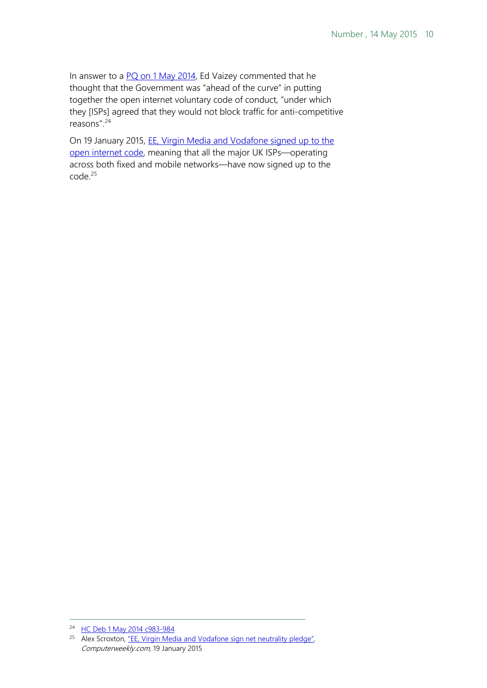In answer to a [PQ on 1 May 2014,](http://www.publications.parliament.uk/pa/cm201314/cmhansrd/cm140501/debtext/140501-0001.htm%2314050125000132) Ed Vaizey commented that he thought that the Government was "ahead of the curve" in putting together the open internet voluntary code of conduct, "under which they [ISPs] agreed that they would not block traffic for anti-competitive reasons".[24](#page-9-0)

On 19 January 2015, [EE, Virgin Media and Vodafone signed up to the](http://www.computerweekly.com/news/2240238396/EE-Virgin-Media-and-Vodafone-sign-net-neutrality-pledge)  [open internet code,](http://www.computerweekly.com/news/2240238396/EE-Virgin-Media-and-Vodafone-sign-net-neutrality-pledge) meaning that all the major UK ISPs—operating across both fixed and mobile networks—have now signed up to the  $code.<sup>25</sup>$  $code.<sup>25</sup>$  $code.<sup>25</sup>$ 

<span id="page-9-0"></span><sup>24</sup> [HC Deb 1 May 2014 c983-984](http://www.publications.parliament.uk/pa/cm201314/cmhansrd/cm140501/debtext/140501-0001.htm%2314050125000132)

<span id="page-9-1"></span><sup>&</sup>lt;sup>25</sup> Alex Scroxton, ["EE, Virgin Media and Vodafone sign net neutrality pledge",](http://www.computerweekly.com/news/2240238396/EE-Virgin-Media-and-Vodafone-sign-net-neutrality-pledge) Computerweekly.com, 19 January 2015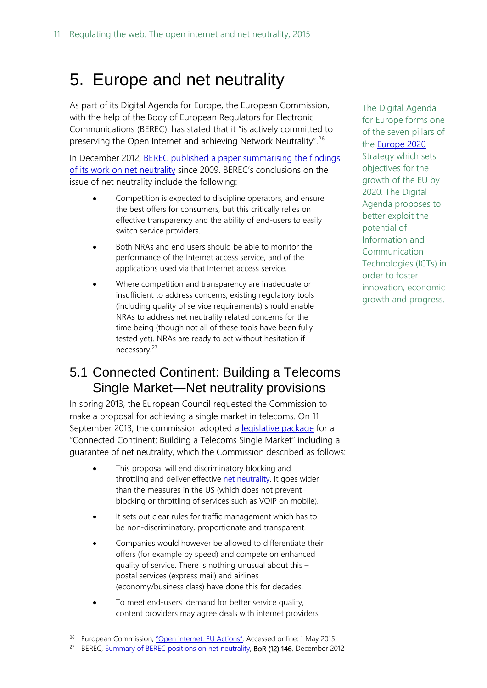# <span id="page-10-0"></span>5. Europe and net neutrality

As part of its Digital Agenda for Europe, the European Commission, with the help of the Body of European Regulators for Electronic Communications (BEREC), has stated that it "is actively committed to preserving the Open Internet and achieving Network Neutrality".<sup>[26](#page-10-2)</sup>

In December 2012, BEREC published a paper summarising the findings [of its work on net neutrality](http://berec.europa.eu/files/document_register_store/2012/12/BoR_(12)_146_Summary_of_BEREC_positions_on_net_neutrality2.pdf) since 2009. BEREC's conclusions on the issue of net neutrality include the following:

- Competition is expected to discipline operators, and ensure the best offers for consumers, but this critically relies on effective transparency and the ability of end-users to easily switch service providers.
- Both NRAs and end users should be able to monitor the performance of the Internet access service, and of the applications used via that Internet access service.
- Where competition and transparency are inadequate or insufficient to address concerns, existing regulatory tools (including quality of service requirements) should enable NRAs to address net neutrality related concerns for the time being (though not all of these tools have been fully tested yet). NRAs are ready to act without hesitation if necessary.[27](#page-10-3)

### <span id="page-10-1"></span>5.1 Connected Continent: Building a Telecoms Single Market—Net neutrality provisions

In spring 2013, the European Council requested the Commission to make a proposal for achieving a single market in telecoms. On 11 September 2013, the commission adopted a [legislative package](http://ec.europa.eu/digital-agenda/en/node/67489/%23open%20internet) for a "Connected Continent: Building a Telecoms Single Market" including a guarantee of net neutrality, which the Commission described as follows:

- This proposal will end discriminatory blocking and throttling and deliver effective [net neutrality.](https://ec.europa.eu/digital-agenda/node/10545) It goes wider than the measures in the US (which does not prevent blocking or throttling of services such as VOIP on mobile).
- It sets out clear rules for traffic management which has to be non-discriminatory, proportionate and transparent.
- Companies would however be allowed to differentiate their offers (for example by speed) and compete on enhanced quality of service. There is nothing unusual about this – postal services (express mail) and airlines (economy/business class) have done this for decades.
- To meet end-users' demand for better service quality, content providers may agree deals with internet providers

 $\overline{a}$ 

The Digital Agenda for Europe forms one of the seven pillars of the [Europe 2020](http://europa.eu/legislation_summaries/employment_and_social_policy/eu2020/em0028_en.htm) Strategy which sets objectives for the growth of the EU by 2020. The Digital Agenda proposes to better exploit the potential of Information and Communication Technologies (ICTs) in order to foster innovation, economic growth and progress.

<span id="page-10-2"></span><sup>&</sup>lt;sup>26</sup> European Commission, ["Open internet: EU Actions".](https://ec.europa.eu/digital-agenda/en/eu-actions) Accessed online: 1 May 2015

<span id="page-10-3"></span><sup>&</sup>lt;sup>27</sup> BEREC[, Summary of BEREC positions on net neutrality,](http://berec.europa.eu/files/document_register_store/2012/12/BoR_(12)_146_Summary_of_BEREC_positions_on_net_neutrality2.pdf) **BoR (12) 146**, December 2012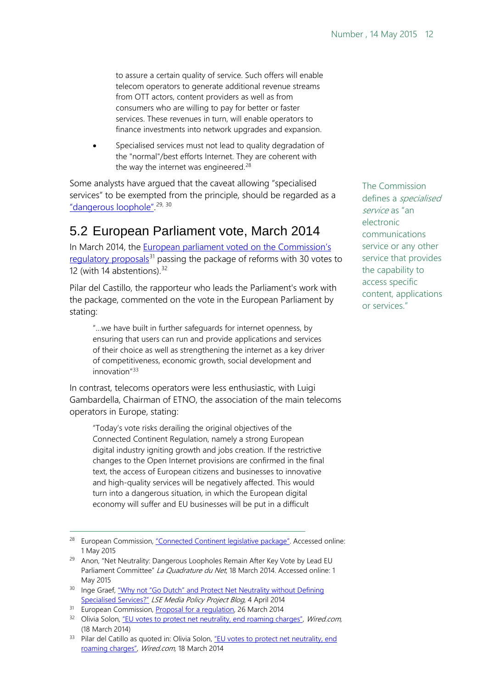to assure a certain quality of service. Such offers will enable telecom operators to generate additional revenue streams from OTT actors, content providers as well as from consumers who are willing to pay for better or faster services. These revenues in turn, will enable operators to finance investments into network upgrades and expansion.

Specialised services must not lead to quality degradation of the "normal"/best efforts Internet. They are coherent with the way the internet was engineered.<sup>28</sup>

Some analysts have argued that the caveat allowing "specialised services" to be exempted from the principle, should be regarded as a <u>"dangerous loophole"</u>.<sup>[29,](#page-11-2) [30](#page-11-3)</sup>

### <span id="page-11-0"></span>5.2 European Parliament vote, March 2014

In March 2014, the [European parliament voted on the Commission's](http://www.europarl.europa.eu/sides/getDoc.do?pubRef=-//EP//NONSGML+AMD+A7-2014-0190+237-244+DOC+PDF+V0//EN)  [regulatory proposals](http://www.europarl.europa.eu/sides/getDoc.do?pubRef=-//EP//NONSGML+AMD+A7-2014-0190+237-244+DOC+PDF+V0//EN)<sup>[31](#page-11-4)</sup> passing the package of reforms with 30 votes to 12 (with 14 abstentions).<sup>[32](#page-11-5)</sup>

Pilar del Castillo, the rapporteur who leads the Parliament's work with the package, commented on the vote in the European Parliament by stating:

"…we have built in further safeguards for internet openness, by ensuring that users can run and provide applications and services of their choice as well as strengthening the internet as a key driver of competitiveness, economic growth, social development and innovation"[33](#page-11-6)

In contrast, telecoms operators were less enthusiastic, with Luigi Gambardella, Chairman of ETNO, the association of the main telecoms operators in Europe, stating:

"Today's vote risks derailing the original objectives of the Connected Continent Regulation, namely a strong European digital industry igniting growth and jobs creation. If the restrictive changes to the Open Internet provisions are confirmed in the final text, the access of European citizens and businesses to innovative and high-quality services will be negatively affected. This would turn into a dangerous situation, in which the European digital economy will suffer and EU businesses will be put in a difficult

 $\overline{a}$ 

The Commission defines a specialised service as "an electronic communications service or any other service that provides the capability to access specific content, applications or services."

<span id="page-11-1"></span><sup>&</sup>lt;sup>28</sup> European Commission, ["Connected Continent legislative package".](http://ec.europa.eu/digital-agenda/en/node/67489/%23open%20internet) Accessed online: 1 May 2015

<span id="page-11-2"></span><sup>&</sup>lt;sup>29</sup> Anon, "Net Neutrality: Dangerous Loopholes Remain After Key Vote by Lead EU Parliament Committee" La Quadrature du Net, 18 March 2014. Accessed online: 1 May 2015

<span id="page-11-3"></span><sup>&</sup>lt;sup>30</sup> Inge Graef, "Why not "Go Dutch" and Protect Net Neutrality without Defining [Specialised Services?"](http://blogs.lse.ac.uk/mediapolicyproject/2014/04/04/why-not-go-dutch-and-protect-net-neutrality-without-defining-specialised-services/) LSE Media Policy Project Blog, 4 April 2014

<span id="page-11-4"></span><sup>&</sup>lt;sup>31</sup> European Commission, *Proposal for a regulation*, 26 March 2014

<span id="page-11-5"></span><sup>&</sup>lt;sup>32</sup> Olivia Solon[, "EU votes to protect net neutrality, end roaming charges",](http://www.wired.co.uk/news/archive/2014-03/18/eu-roaming-net-neutrality) Wired.com, (18 March 2014)

<span id="page-11-6"></span><sup>33</sup> Pilar del Catillo as quoted in: Olivia Solon, "EU votes to protect net neutrality, end [roaming charges",](http://www.wired.co.uk/news/archive/2014-03/18/eu-roaming-net-neutrality) Wired.com, 18 March 2014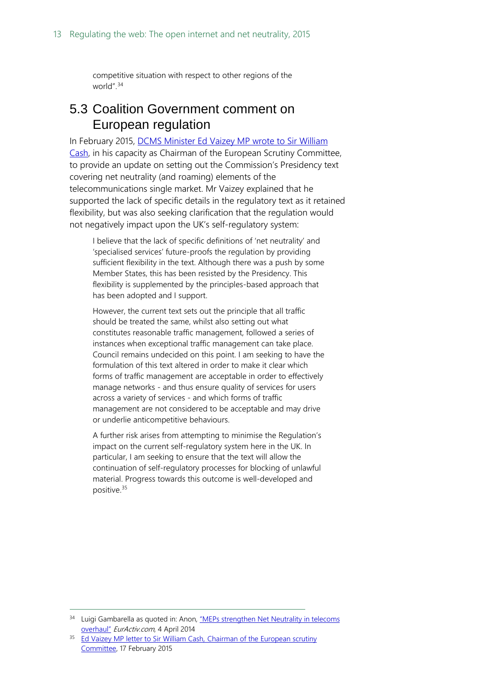competitive situation with respect to other regions of the world".[34](#page-12-1)

### <span id="page-12-0"></span>5.3 Coalition Government comment on European regulation

In February 2015, [DCMS Minister Ed Vaizey MP wrote to Sir William](http://esid.parliament.uk/Documents/16d43ffa-9456-4c9f-8558-b3ad87b5e6c6.pdf)  [Cash,](http://esid.parliament.uk/Documents/16d43ffa-9456-4c9f-8558-b3ad87b5e6c6.pdf) in his capacity as Chairman of the European Scrutiny Committee, to provide an update on setting out the Commission's Presidency text covering net neutrality (and roaming) elements of the telecommunications single market. Mr Vaizey explained that he supported the lack of specific details in the regulatory text as it retained flexibility, but was also seeking clarification that the regulation would not negatively impact upon the UK's self-regulatory system:

I believe that the lack of specific definitions of 'net neutrality' and 'specialised services' future-proofs the regulation by providing sufficient flexibility in the text. Although there was a push by some Member States, this has been resisted by the Presidency. This flexibility is supplemented by the principles-based approach that has been adopted and I support.

However, the current text sets out the principle that all traffic should be treated the same, whilst also setting out what constitutes reasonable traffic management, followed a series of instances when exceptional traffic management can take place. Council remains undecided on this point. I am seeking to have the formulation of this text altered in order to make it clear which forms of traffic management are acceptable in order to effectively manage networks - and thus ensure quality of services for users across a variety of services - and which forms of traffic management are not considered to be acceptable and may drive or underlie anticompetitive behaviours.

A further risk arises from attempting to minimise the Regulation's impact on the current self-regulatory system here in the UK. In particular, I am seeking to ensure that the text will allow the continuation of self-regulatory processes for blocking of unlawful material. Progress towards this outcome is well-developed and positive.[35](#page-12-2)

<span id="page-12-1"></span><sup>&</sup>lt;sup>34</sup> Luigi Gambarella as quoted in: Anon, "MEPs strengthen Net Neutrality in telecoms [overhaul"](http://www.euractiv.com/sections/infosociety/meps-strengthen-net-neutrality-telecoms-overhaul-301352) EurActiv.com, 4 April 2014

<span id="page-12-2"></span><sup>&</sup>lt;sup>35</sup> [Ed Vaizey MP letter to Sir William Cash,](http://esid.parliament.uk/Documents/16d43ffa-9456-4c9f-8558-b3ad87b5e6c6.pdf) Chairman of the European scrutiny [Committee,](http://esid.parliament.uk/Documents/16d43ffa-9456-4c9f-8558-b3ad87b5e6c6.pdf) 17 February 2015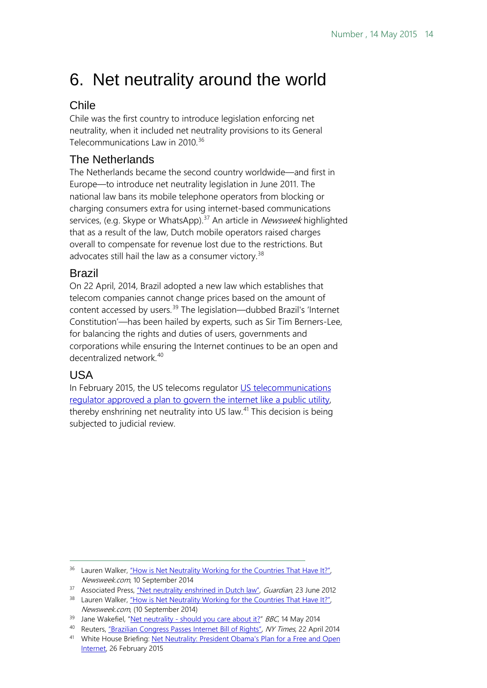# <span id="page-13-0"></span>6. Net neutrality around the world

### <span id="page-13-1"></span>Chile

Chile was the first country to introduce legislation enforcing net neutrality, when it included net neutrality provisions to its General Telecommunications Law in 2010.<sup>[36](#page-13-5)</sup>

### <span id="page-13-2"></span>The Netherlands

The Netherlands became the second country worldwide—and first in Europe—to introduce net neutrality legislation in June 2011. The national law bans its mobile telephone operators from blocking or charging consumers extra for using internet-based communications services, (e.g. Skype or WhatsApp).<sup>[37](#page-13-6)</sup> An article in *Newsweek* highlighted that as a result of the law, Dutch mobile operators raised charges overall to compensate for revenue lost due to the restrictions. But advocates still hail the law as a consumer victory.<sup>[38](#page-13-7)</sup>

### <span id="page-13-3"></span>Brazil

On 22 April, 2014, Brazil adopted a new law which establishes that telecom companies cannot change prices based on the amount of content accessed by users.<sup>[39](#page-13-8)</sup> The legislation—dubbed Brazil's 'Internet Constitution'—has been hailed by experts, such as Sir Tim Berners-Lee, for balancing the rights and duties of users, governments and corporations while ensuring the Internet continues to be an open and decentralized network.<sup>[40](#page-13-9)</sup>

### <span id="page-13-4"></span>USA

 $\overline{a}$ 

In February 2015, the US telecoms regulator US telecommunications [regulator approved a plan to govern the internet like a public utility,](http://www.whitehouse.gov/net-neutrality) thereby enshrining net neutrality into US law.<sup>[41](#page-13-10)</sup> This decision is being subjected to judicial review.

<span id="page-13-5"></span><sup>&</sup>lt;sup>36</sup> Lauren Walker, "How is Net Neutrality Working for the Countries That Have It?", Newsweek.com, 10 September 2014

<span id="page-13-6"></span><sup>&</sup>lt;sup>37</sup> Associated Press[, "Net neutrality enshrined in Dutch law",](http://www.theguardian.com/technology/2011/jun/23/netherlands-enshrines-net-neutrality-law) *Guardian*, 23 June 2012

<span id="page-13-7"></span><sup>&</sup>lt;sup>38</sup> Lauren Walker, "How is Net Neutrality Working for the Countries That Have It?", Newsweek.com, (10 September 2014)

<span id="page-13-8"></span><sup>&</sup>lt;sup>39</sup> Jane Wakefiel, "Net neutrality - [should you care about it?"](http://www.bbc.co.uk/news/technology-27397857) BBC, 14 May 2014

<span id="page-13-9"></span><sup>40</sup> Reuters[, "Brazilian Congress Passes Internet Bill of Rights",](http://www.nytimes.com/reuters/2014/04/22/technology/22reuters-internet-brazil.html?partner=rss&emc=rss) NY Times, 22 April 2014

<span id="page-13-10"></span><sup>41</sup> White House Briefing: Net Neutrality: President Obama's Plan for a Free and Open [Internet,](http://www.whitehouse.gov/net-neutrality) 26 February 2015